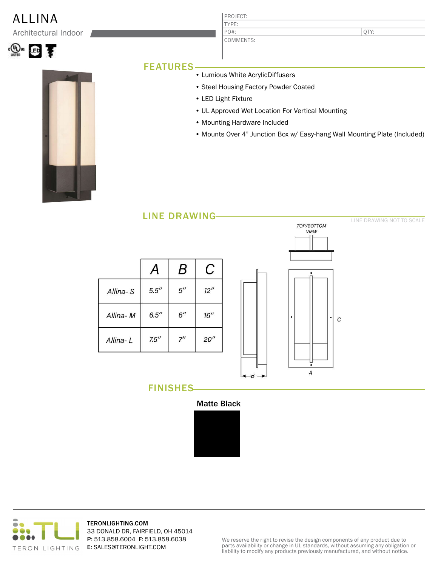## ALLINA PROJECT:

Architectural Indoor





## FEATURES

• Lumious White AcrylicDiffusers

COMMENTS:

TYPE:

PO#:

- Steel Housing Factory Powder Coated
- LED Light Fixture
- UL Approved Wet Location For Vertical Mounting
- Mounting Hardware Included
- Mounts Over 4" Junction Box w/ Easy-hang Wall Mounting Plate (Included)





FINISHES



 $-B \rightarrow$ 



TERONLIGHTING.COM 33 DONALD DR, FAIRFIELD, OH 45014 P: 513.858.6004 F: 513.858.6038 E: SALES@TERONLIGHT.COM

We reserve the right to revise the design components of any product due to parts availability or change in UL standards, without assuming any obligation or liability to modify any products previously manufactured, and without notice.

QTY:

LINE DRAWING NOT TO SCALE